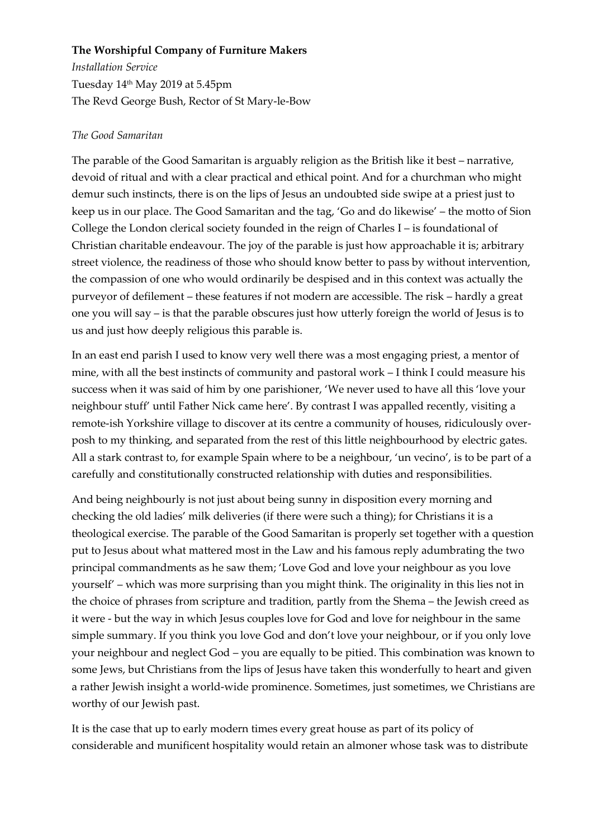## **The Worshipful Company of Furniture Makers**

*Installation Service* Tuesday 14th May 2019 at 5.45pm The Revd George Bush, Rector of St Mary-le-Bow

## *The Good Samaritan*

The parable of the Good Samaritan is arguably religion as the British like it best – narrative, devoid of ritual and with a clear practical and ethical point. And for a churchman who might demur such instincts, there is on the lips of Jesus an undoubted side swipe at a priest just to keep us in our place. The Good Samaritan and the tag, 'Go and do likewise' – the motto of Sion College the London clerical society founded in the reign of Charles I – is foundational of Christian charitable endeavour. The joy of the parable is just how approachable it is; arbitrary street violence, the readiness of those who should know better to pass by without intervention, the compassion of one who would ordinarily be despised and in this context was actually the purveyor of defilement – these features if not modern are accessible. The risk – hardly a great one you will say – is that the parable obscures just how utterly foreign the world of Jesus is to us and just how deeply religious this parable is.

In an east end parish I used to know very well there was a most engaging priest, a mentor of mine, with all the best instincts of community and pastoral work – I think I could measure his success when it was said of him by one parishioner, 'We never used to have all this 'love your neighbour stuff' until Father Nick came here'. By contrast I was appalled recently, visiting a remote-ish Yorkshire village to discover at its centre a community of houses, ridiculously overposh to my thinking, and separated from the rest of this little neighbourhood by electric gates. All a stark contrast to, for example Spain where to be a neighbour, 'un vecino', is to be part of a carefully and constitutionally constructed relationship with duties and responsibilities.

And being neighbourly is not just about being sunny in disposition every morning and checking the old ladies' milk deliveries (if there were such a thing); for Christians it is a theological exercise. The parable of the Good Samaritan is properly set together with a question put to Jesus about what mattered most in the Law and his famous reply adumbrating the two principal commandments as he saw them; 'Love God and love your neighbour as you love yourself' – which was more surprising than you might think. The originality in this lies not in the choice of phrases from scripture and tradition, partly from the Shema – the Jewish creed as it were - but the way in which Jesus couples love for God and love for neighbour in the same simple summary. If you think you love God and don't love your neighbour, or if you only love your neighbour and neglect God – you are equally to be pitied. This combination was known to some Jews, but Christians from the lips of Jesus have taken this wonderfully to heart and given a rather Jewish insight a world-wide prominence. Sometimes, just sometimes, we Christians are worthy of our Jewish past.

It is the case that up to early modern times every great house as part of its policy of considerable and munificent hospitality would retain an almoner whose task was to distribute